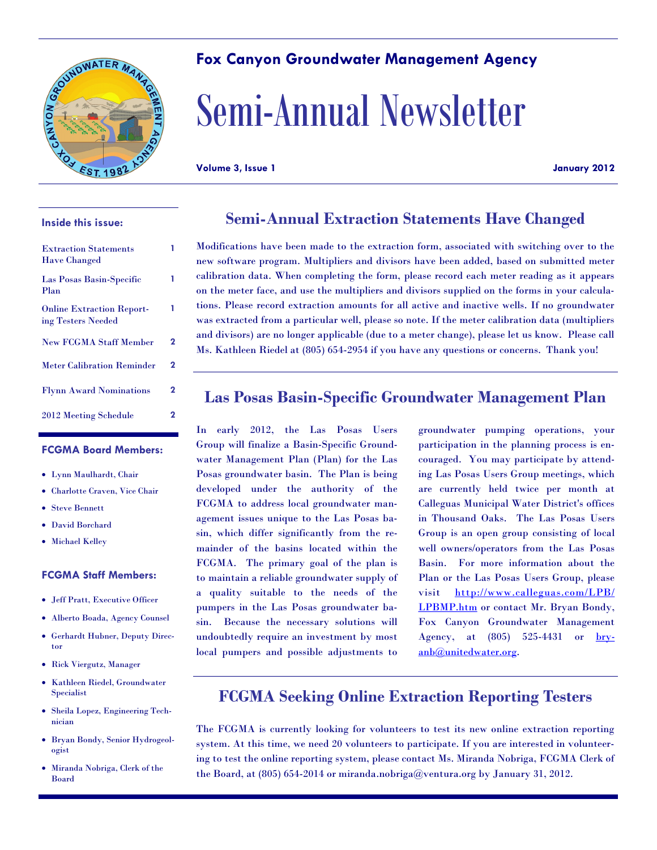

#### **Inside this issue:**

| <b>Extraction Statements</b><br><b>Have Changed</b>    |   |
|--------------------------------------------------------|---|
| Las Posas Basin-Specific<br>Plan                       |   |
| <b>Online Extraction Report-</b><br>ing Testers Needed |   |
| <b>New FCGMA Staff Member</b>                          | 2 |
| <b>Meter Calibration Reminder</b>                      | 2 |
| <b>Flynn Award Nominations</b>                         | 2 |
| 2012 Meeting Schedule                                  | 2 |

#### **FCGMA Board Members:**

- Lynn Maulhardt, Chair
- Charlotte Craven, Vice Chair
- Steve Bennett
- David Borchard
- Michael Kelley

#### **FCGMA Staff Members:**

- Jeff Pratt, Executive Officer
- Alberto Boada, Agency Counsel
- Gerhardt Hubner, Deputy Director
- Rick Viergutz, Manager
- Kathleen Riedel, Groundwater Specialist
- Sheila Lopez, Engineering Technician
- Bryan Bondy, Senior Hydrogeologist
- Miranda Nobriga, Clerk of the Board

#### **Fox Canyon Groundwater Management Agency**

# Semi-Annual Newsletter

**Volume 3, Issue 1 January 2012**

# **Semi-Annual Extraction Statements Have Changed**

Modifications have been made to the extraction form, associated with switching over to the new software program. Multipliers and divisors have been added, based on submitted meter calibration data. When completing the form, please record each meter reading as it appears on the meter face, and use the multipliers and divisors supplied on the forms in your calculations. Please record extraction amounts for all active and inactive wells. If no groundwater was extracted from a particular well, please so note. If the meter calibration data (multipliers and divisors) are no longer applicable (due to a meter change), please let us know. Please call Ms. Kathleen Riedel at (805) 654-2954 if you have any questions or concerns. Thank you!

### **Las Posas Basin-Specific Groundwater Management Plan**

In early 2012, the Las Posas Users Group will finalize a Basin-Specific Groundwater Management Plan (Plan) for the Las Posas groundwater basin. The Plan is being developed under the authority of the FCGMA to address local groundwater management issues unique to the Las Posas basin, which differ significantly from the remainder of the basins located within the FCGMA. The primary goal of the plan is to maintain a reliable groundwater supply of a quality suitable to the needs of the pumpers in the Las Posas groundwater basin. Because the necessary solutions will undoubtedly require an investment by most local pumpers and possible adjustments to groundwater pumping operations, your participation in the planning process is encouraged. You may participate by attending Las Posas Users Group meetings, which are currently held twice per month at Calleguas Municipal Water District's offices in Thousand Oaks. The Las Posas Users Group is an open group consisting of local well owners/operators from the Las Posas Basin. For more information about the Plan or the Las Posas Users Group, please visit http://www.calleguas.com/LPB/ LPBMP.htm or contact Mr. Bryan Bondy, Fox Canyon Groundwater Management Agency, at (805) 525-4431 or bryanb@unitedwater.org.

## **FCGMA Seeking Online Extraction Reporting Testers**

The FCGMA is currently looking for volunteers to test its new online extraction reporting system. At this time, we need 20 volunteers to participate. If you are interested in volunteering to test the online reporting system, please contact Ms. Miranda Nobriga, FCGMA Clerk of the Board, at (805) 654-2014 or miranda.nobriga@ventura.org by January 31, 2012.